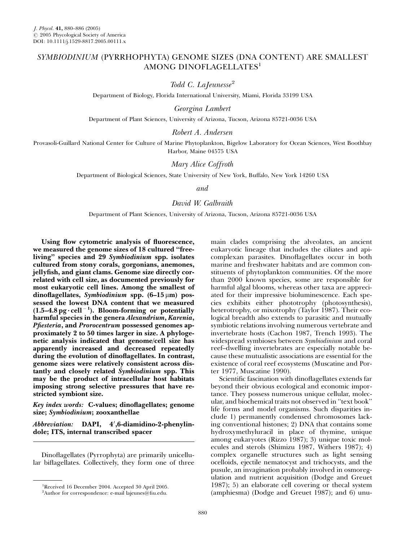## SYMBIODINIUM (PYRRHOPHYTA) GENOME SIZES (DNA CONTENT) ARE SMALLEST AMONG DINOFLAGELLATES<sup>1</sup>

Todd C. LaJeunesse<sup>2</sup>

Department of Biology, Florida International University, Miami, Florida 33199 USA

Georgina Lambert

Department of Plant Sciences, University of Arizona, Tucson, Arizona 85721-0036 USA

Robert A. Andersen

Provasoli-Guillard National Center for Culture of Marine Phytoplankton, Bigelow Laboratory for Ocean Sciences, West Boothbay Harbor, Maine 04575 USA

Mary Alice Coffroth

Department of Biological Sciences, State University of New York, Buffalo, New York 14260 USA

and

David W. Galbraith

Department of Plant Sciences, University of Arizona, Tucson, Arizona 85721-0036 USA

Using flow cytometric analysis of fluorescence, we measured the genome sizes of 18 cultured ''freeliving'' species and 29 Symbiodinium spp. isolates cultured from stony corals, gorgonians, anemones, jellyfish, and giant clams. Genome size directly correlated with cell size, as documented previously for most eukaryotic cell lines. Among the smallest of dinoflagellates, Symbiodinium spp.  $(6-15 \mu m)$  possessed the lowest DNA content that we measured  $(1.5-4.8 \,\text{pg}\cdot \text{cell}^{-1})$ . Bloom-forming or potentially harmful species in the genera Alexandrium, Karenia, Pfiesteria, and Prorocentrum possessed genomes approximately 2 to 50 times larger in size. A phylogenetic analysis indicated that genome/cell size has apparently increased and decreased repeatedly during the evolution of dinoflagellates. In contrast, genome sizes were relatively consistent across distantly and closely related Symbiodinium spp. This may be the product of intracellular host habitats imposing strong selective pressures that have restricted symbiont size.

Key index words: C-values; dinoflagellates; genome size; Symbiodinium; zooxanthellae

Abbreviation: DAPI, 4',6-diamidino-2-phenylindole; ITS, internal transcribed spacer

Dinoflagellates (Pyrrophyta) are primarily unicellular biflagellates. Collectively, they form one of three

main clades comprising the alveolates, an ancient eukaryotic lineage that includes the ciliates and apicomplexan parasites. Dinoflagellates occur in both marine and freshwater habitats and are common constituents of phytoplankton communities. Of the more than 2000 known species, some are responsible for harmful algal blooms, whereas other taxa are appreciated for their impressive bioluminescence. Each species exhibits either phototrophy (photosynthesis), heterotrophy, or mixotrophy (Taylor 1987). Their ecological breadth also extends to parasitic and mutually symbiotic relations involving numerous vertebrate and invertebrate hosts (Cachon 1987, Trench 1993). The widespread symbioses between Symbiodinium and coral reef–dwelling invertebrates are especially notable because these mutualistic associations are essential for the existence of coral reef ecosystems (Muscatine and Porter 1977, Muscatine 1990).

Scientific fascination with dinoflagellates extends far beyond their obvious ecological and economic importance. They possess numerous unique cellular, molecular, and biochemical traits not observed in ''text book'' life forms and model organisms. Such disparities include 1) permanently condensed chromosomes lacking conventional histones; 2) DNA that contains some hydroxymethyluracil in place of thymine, unique among eukaryotes (Rizzo 1987); 3) unique toxic molecules and sterols (Shimizu 1987, Withers 1987); 4) complex organelle structures such as light sensing ocelloids, ejectile nematocyst and trichocysts, and the pusule, an invagination probably involved in osmoregulation and nutrient acquisition (Dodge and Greuet 1987); 5) an elaborate cell covering or thecal system (amphiesma) (Dodge and Greuet 1987); and 6) unu-

<sup>&</sup>lt;sup>1</sup>Received 16 December 2004. Accepted 30 April 2005.

<sup>2</sup> Author for correspondence: e-mail lajeunes@fiu.edu.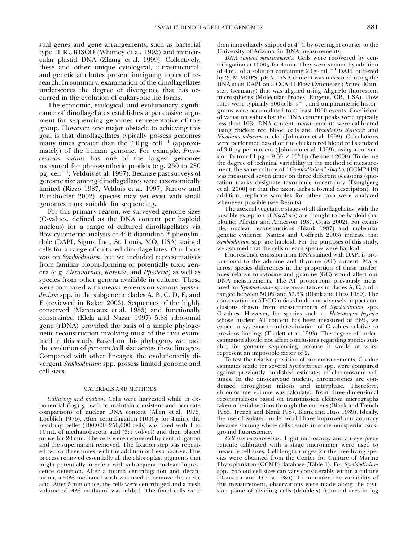sual genes and gene arrangements, such as bacterial type II RUBISCO (Whitney et al. 1995) and minicircular plastid DNA (Zhang et al. 1999). Collectively, these and other unique cytological, ultrastructural, and genetic attributes present intriguing topics of research. In summary, examination of the dinoflagellates underscores the degree of divergence that has occurred in the evolution of eukaryotic life forms.

The economic, ecological, and evolutionary significance of dinoflagellates establishes a persuasive argument for sequencing genomes representative of this group. However, one major obstacle to achieving this goal is that dinoflagellates typically possess genomes many times greater than the  $3.0 \,\text{pg} \cdot \text{cell}^{-1}$  (approximately) of the human genome. For example, Prorocentrum micans has one of the largest genomes measured for photosynthetic protists (e.g. 230 to 280 pg - cell <sup>1</sup> ; Velduis et al. 1997). Because past surveys of genome size among dinoflagellates were taxonomically limited (Rizzo 1987, Velduis et al. 1997, Parrow and Burkholder 2002), species may yet exist with small genomes more suitable for sequencing.

For this primary reason, we surveyed genome sizes (C-values, defined as the DNA content per haploid nucleus) for a range of cultured dinoflagellates via flow-cytometric analysis of 4',6-diamidino-2-phenylindole (DAPI, Sigma Inc., St. Louis, MO, USA) stained cells for a range of cultured dinoflagellates. Our focus was on Symbiodinium, but we included representatives from familiar bloom-forming or potentially toxic genera (e.g. Alexandrium, Karenia, and Pfiesteria) as well as species from other genera available in culture. These were compared with measurements on various Symbiodinium spp. in the subgeneric clades A, B, C, D, E, and F (reviewed in Baker 2003). Sequences of the highly conserved (Maroteaux et al. 1985) and functionally constrained (Elela and Nazar 1997) 5.8S ribosomal gene (rDNA) provided the basis of a simple phylogenetic reconstruction involving most of the taxa examined in this study. Based on this phylogeny, we trace the evolution of genome/cell size across these lineages. Compared with other lineages, the evolutionarily divergent Symbiodinium spp. possess limited genome and cell sizes.

## MATERIALS AND METHODS

Culturing and fixation. Cells were harvested while in exponential (log) growth to maintain consistent and accurate comparisons of nuclear DNA content (Allen et al. 1975, Loeblich 1976). After centrifugation  $(1000 g$  for 4 min), the resulting pellet (100,000–250,000 cells) was fixed with 1 to 10 mL of methanol:acetic acid (3:1 vol/vol) and then placed on ice for 20 min. The cells were recovered by centrifugation and the supernatant removed. The fixation step was repeated two or three times, with the addition of fresh fixative. This process removed essentially all the chloroplast pigments that might potentially interfere with subsequent nuclear fluorescence detection. After a fourth centrifugation and decantation, a 90% methanol wash was used to remove the acetic acid. After 5 min on ice, the cells were centrifuged and a fresh volume of 90% methanol was added. The fixed cells were then immediately shipped at 4<sup>°</sup> C by overnight courier to the University of Arizona for DNA measurements.

DNA content measurements. Cells were recovered by centrifugation at  $1000 g$  for 4 min. They were stained by addition of  $4 \text{ mL}$  of a solution containing  $20 \text{ g} \cdot \text{mL}^{-1}$  DAPI buffered by 20 M MOPS, pH 7. DNA content was measured using the DNA stain DAPI on a CCA-II Flow Cytometer (Partec, Munster, Germany) that was aligned using AlignFlo fluorescent microspheres (Molecular Probes, Eugene, OR, USA). Flow rates were typically  $500$  cells $\cdot$  s<sup>-1</sup>, and uniparametric historgrams were accumulated to at least 1000 events. Coefficient of variation values for the DNA content peaks were typically less than 10%. DNA content measurements were calibrated using chicken red blood cells and Arabidopsis thaliana and Nicotiana tabacum nuclei (Johnston et al. 1999). Calculations were performed based on the chicken red blood cell standard of  $3.0$  pg per nucleus (Johnston et al. 1999), using a conversion factor of 1 pg =  $9.65 \times 10^8$  bp (Bennett 2000). To define the degree of technical variability in the method of measurement, the same culture of "Gymnodinium" simplex (CCMP419) was measured seven times on three different occasions (quotation marks designate taxonomic uncertainty [Daugbjerg et al. 2000] or that the taxon lacks a formal description). In addition, replicate samples for other taxa were analyzed whenever possible (see Results).

The asexual vegetative stages of all dinoflagellates (with the possible exception of Noctiluca) are thought to be haploid (haplontic; Pfiester and Anderson 1987, Coats 2002). For example, nuclear reconstructions (Blank 1987) and molecular genetic evidence (Santos and Coffroth 2003) indicate that Symbiodinium spp. are haploid. For the purposes of this study, we assumed that the cells of each species were haploid.

Fluorescence emission from DNA stained with DAPI is proportional to the adenine and thymine (AT) content. Major across-species differences in the proportion of these nucleotides relative to cytosine and guanine (GC) would affect our DNA measurements. The AT proportions previously measured for Symbiodinium sp. representatives in clades A, C, and F ranged between 50.0% and 53.6% (Blank and Huss 1989). The conservation in AT/GC ratios should not adversely impact conclusions drawn from measurements of Symbiodinium spp. C-values. However, for species such as Heterocapsa pygmea whose nuclear AT content has been measured as 36%, we expect a systematic underestimation of C-values relative to previous findings (Triplett et al. 1993). The degree of underestimation should not affect conclusions regarding species suitable for genome sequencing because it would at worst represent an impossible factor of 2.

To test the relative precision of our measurements, C-value estimates made for several Symbiodinium spp. were compared against previously published estimates of chromosome volumes. In the dinokaryotic nucleus, chromosomes are condensed throughout mitosis and interphase. Therefore, chromosome volume was calculated from three-dimensional reconstructions based on transmission electron micrographs taken of serial sections through the nucleus (Blank and Trench 1985, Trench and Blank 1987, Blank and Huss 1989). Ideally, the use of isolated nuclei would have improved our accuracy because staining whole cells results in some nonspecific background fluorescence.

Cell size measurements. Light microscopy and an eye-piece reticule calibrated with a stage micrometer were used to measure cell sizes. Cell length ranges for the free-living species were obtained from the Center for Culture of Marine Phytoplankton (CCMP) database (Table 1). For Symbiodinium spp., coccoid cell sizes can vary considerably within a culture (Domotor and D'Elia 1986). To minimize the variability of this measurement, observations were made along the division plane of dividing cells (doublets) from cultures in log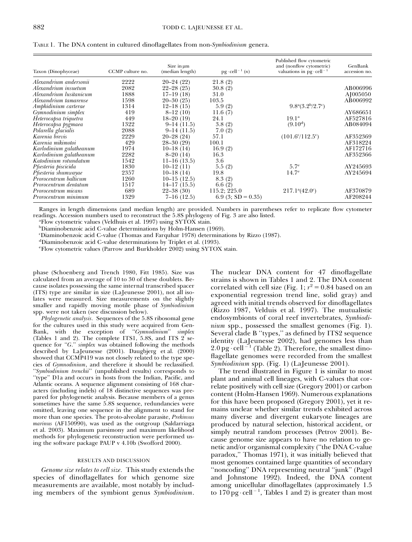| Taxon (Dinophyceae)        | CCMP culture no. | Size in um<br>(median length) | $pg \cdot$ cell <sup>-1</sup> $(n)$ | Published flow cytometric<br>and (nonflow cytometric)<br>valuations in $pg \cdot cell^{-1}$ | GenBank<br>accession no. |
|----------------------------|------------------|-------------------------------|-------------------------------------|---------------------------------------------------------------------------------------------|--------------------------|
| Alexandrium andersonii     | 2222             | $20 - 24(22)$                 | 21.8(2)                             |                                                                                             |                          |
| Alexandrium insuetum       | 2082             | $22 - 28(25)$                 | 30.8(2)                             |                                                                                             | AB006996                 |
| Alexandrium lusitanicum    | 1888             | $17-19(18)$                   | 31.0                                |                                                                                             | A <sub>[005050</sub> ]   |
| Alexandrium tamarense      | 1598             | $20 - 30(25)$                 | 103.5                               |                                                                                             | AB006992                 |
| Amphidinium carterae       | 1314             | $12-18(15)$                   | 5.9(2)                              | $9.8^{\rm a}(3.2^{\rm b}/2.7^{\rm c})$                                                      |                          |
| Gymnodinium simplex        | 419              | $8-12(10)$                    | 11.6(7)                             |                                                                                             | AY686651                 |
| Heterocapsa triquetra      | 449              | $18 - 20(19)$                 | 24.1                                | 19.1 <sup>a</sup>                                                                           | AF527816                 |
| Heterocapsa pygmaea        | 1322             | $9-14(11.5)$                  | 3.8(2)                              | $(9.10^d)$                                                                                  | AB084094                 |
| Polarella glacialis        | 2088             | $9-14(11.5)$                  | 7.0(2)                              |                                                                                             |                          |
| Karenia brevis             | 2229             | $20 - 28(24)$                 | 57.1                                | $(101.6^{\circ}/112.5^{\circ})$                                                             | AF352369                 |
| Karenia mikimotoi          | 429              | $28 - 30(29)$                 | 100.1                               |                                                                                             | AF318224                 |
| Karlodinium galatheanum    | 1974             | $10-18(14)$                   | 16.9(2)                             |                                                                                             | AF172716                 |
| Karlodinium galatheanum    | 2282             | $8-20(14)$                    | 16.3                                |                                                                                             | AF352366                 |
| Katodinium rotundatum      | 1542             | $11-16(13.5)$                 | 3.6                                 |                                                                                             |                          |
| Pfiesteria piscicida       | 1830             | $10-12(11)$                   | 5.5(2)                              | 5.7 <sup>e</sup>                                                                            | AY245693                 |
| Pfiesteria shumwayae       | 2357             | $10-18(14)$                   | 19.8                                | 14.7 <sup>e</sup>                                                                           | AY245694                 |
| Prorocentrum balticum      | 1260             | $10-15(12.5)$                 | 8.3(2)                              |                                                                                             |                          |
| Prorocentrum dentatum      | 1517             | $14-17(15.5)$                 | 6.6(2)                              |                                                                                             |                          |
| <i>Prorocentrum micans</i> | 689              | $22 - 38(30)$                 | 115.2; 225.0                        | $217.1^{\circ}(42.0^{\circ})$                                                               | AF370879                 |
| Prorocentrum minimum       | 1329             | $7-16(12.5)$                  | 6.9 (3; $SD = 0.35$ )               |                                                                                             | AF208244                 |

TABLE 1. The DNA content in cultured dinoflagellates from non-Symbiodinium genera.

Ranges in length dimensions (and median length) are provided. Numbers in parentheses refer to replicate flow cytometer readings. Accession numbers used to reconstruct the 5.8S phylogeny of Fig. 3 are also listed.

Flow cytometric values (Veldhuis et al. 1997) using SYTOX stain.

b Diaminobenzoic acid C-value determinations by Holm-Hansen (1969).

c Diaminobenzoic acid C-value (Thomas and Farquhar 1978) determinations by Rizzo (1987).

d Diaminobenzoic acid C-value determinations by Triplet et al. (1993).

e Flow cytometric values (Parrow and Burkholder 2002) using SYTOX stain.

phase (Schoenberg and Trench 1980, Fitt 1985). Size was calculated from an average of 10 to 30 of these doublets. Because isolates possessing the same internal transcribed spacer (ITS) type are similar in size (LaJeunesse 2001), not all isolates were measured. Size measurements on the slightly smaller and rapidly moving motile phase of Symbiodinium spp. were not taken (see discussion below).

Phylogenetic analysis. Sequences of the 5.8S ribosomal gene for the cultures used in this study were acquired from Gen-Bank, with the exception of ''Gymnodinium'' simplex (Tables 1 and 2). The complete ITS1, 5.8S, and ITS 2 sequence for "G." simplex was obtained following the methods described by LaJeunesse (2001). Daugbjerg et al. (2000) showed that CCMP419 was not closely related to the type species of Gymnodinium, and therefore it should be reclassified. ''Symbiodinium trenchii'' (unpublished results) corresponds to ''type'' D1a and occurs in hosts from the Indian, Pacific, and Atlantic oceans. A sequence alignment consisting of 168 characters (including indels) of 18 distinctive sequences was prepared for phylogenetic analysis. Because members of a genus sometimes have the same 5.8S sequence, redundancies were omitted, leaving one sequence in the alignment to stand for more than one species. The proto-alveolate parasite, Prekinsus marinus (AF150990), was used as the outgroup (Saldarriaga et al. 2003). Maximum parsimony and maximum likelihood methods for phylogenetic reconstruction were performed using the software package PAUP v 4.10b (Swofford 2000).

## RESULTS AND DISCUSSION

Genome size relates to cell size. This study extends the species of dinoflagellates for which genome size measurements are available, most notably by including members of the symbiont genus Symbiodinium. The nuclear DNA content for 47 dinoflagellate strains is shown in Tables 1 and 2. The DNA content correlated with cell size (Fig. 1;  $r^2 = 0.84$  based on an exponential regression trend line, solid gray) and agreed with initial trends observed for dinoflagellates (Rizzo 1987, Velduis et al. 1997). The mutualistic endosymbionts of coral reef invertebrates, Symbiodinium spp., possessed the smallest genomes (Fig. 1). Several clade B ''types,'' as defined by ITS2 sequence identity (LaJeunesse 2002), had genomes less than  $2.0 \,\mathrm{pg \cdot cell^{-1}}$  (Table 2). Therefore, the smallest dinoflagellate genomes were recorded from the smallest Symbiodinium spp. (Fig. 1) (LaJeunesse 2001).

The trend illustrated in Figure 1 is similar to most plant and animal cell lineages, with C-values that correlate positively with cell size (Gregory 2001) or carbon content (Holm-Hansen 1969). Numerous explanations for this have been proposed (Gregory 2001), yet it remains unclear whether similar trends exhibited across many diverse and divergent eukaryote lineages are produced by natural selection, historical accident, or simply neutral random processes (Petrov 2001). Because genome size appears to have no relation to genetic and/or organismal complexity (''the DNA C-value paradox,'' Thomas 1971), it was initially believed that most genomes contained large quantities of secondary ''noncoding'' DNA representing neutral ''junk'' (Pagel and Johnstone 1992). Indeed, the DNA content among unicellular dinoflagellates (approximately 1.5 to  $170 \text{ pg} \cdot \text{cell}^{-1}$ , Tables 1 and 2) is greater than most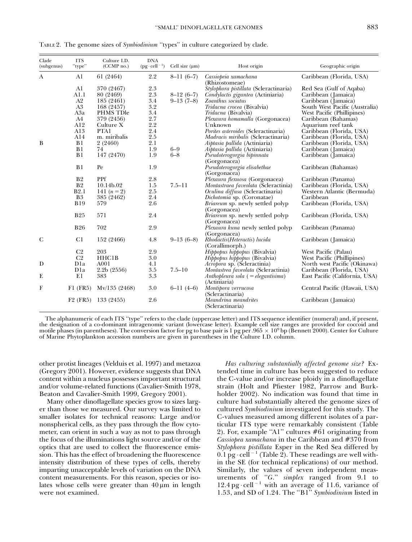| Clade<br>(subgenus) | <b>ITS</b><br>"type" | Culture I.D.<br>(CCMP no.)            | <b>DNA</b><br>$(pg \cdot \text{cell}^{-1})$ | Cell size $(\mu m)$        | Host origin                                                                                                        | Geographic origin                                                     |
|---------------------|----------------------|---------------------------------------|---------------------------------------------|----------------------------|--------------------------------------------------------------------------------------------------------------------|-----------------------------------------------------------------------|
| A                   | A1                   | 61 (2464)                             | 2.2                                         | $8-11(6-7)$                | Cassiopeia xamachana                                                                                               | Caribbean (Florida, USA)                                              |
|                     | Al<br>A1.1<br>A2     | 370 (2467)<br>80 (2469)<br>185 (2461) | $2.3\,$<br>$2.3\,$<br>3.4                   | $8-12(6-7)$<br>$9-13(7-8)$ | (Rhizostomeae)<br>Stylophora pistillata (Scleractinaria)<br>Condylactis gigantea (Actiniaria)<br>Zoanthus sociatus | Red Sea (Gulf of Aqaba)<br>Caribbean (Jamaica)<br>Caribbean (Jamaica) |
|                     | $\rm A3$             | 168 (2457)                            | $3.2\,$                                     |                            | Tridacna crocea (Bivalvia)                                                                                         | South West Pacific (Australia)                                        |
|                     | A3a<br>A4            | PHMS TDle<br>379 (2456)               | $3.4\,$<br>2.7                              |                            | <i>Tridacna</i> (Bivalvia)<br>Plexaura homamalla (Gorgonacea)                                                      | West Pacific (Phillipines)<br>Caribbean (Bahamas)                     |
|                     | A12                  | Culture X                             | 2.2                                         |                            | Unknown                                                                                                            | Aquarium reef tank                                                    |
|                     | A13<br>A14           | PTA1<br>m. miribalis                  | 2.4<br>$2.5\,$                              |                            | Portes asteroides (Scleractinaria)<br>Madracis miribalis (Scleractinaria)                                          | Caribbean (Florida, USA)<br>Caribbean (Florida, USA)                  |
| B                   | B1                   | 2(2460)                               | 2.1                                         |                            | Aiptasia pallida (Actiniaria)                                                                                      | Caribbean (Florida, USA)                                              |
|                     | B1<br>B1             | 74<br>147 (2470)                      | 1.9<br>1.9                                  | $6-9$<br>$6 - 8$           | Aiptasia pallida (Actiniaria)<br>Pseudoterogorgia bipinnata<br>(Gorgonacea)                                        | Caribbean (Jamaica)<br>Caribbean (Jamaica)                            |
|                     | B1                   | Pe                                    | 1.9                                         |                            | Pseudoterogorgia elisabethae<br>(Gorgonacea)                                                                       | Caribbean (Bahamas)                                                   |
|                     | B <sub>2</sub>       | PPf                                   | 2.8                                         |                            | Plexaura flexuosa (Gorgonacea)                                                                                     | Caribbean (Panama)                                                    |
|                     | B <sub>2</sub>       | 10.14b.02                             | 1.5                                         | $7.5 - 11$                 | Montastraea faveolata (Scleractinia)                                                                               | Caribbean (Florida, USA)                                              |
|                     | B2.1                 | 141 $(n = 2)$                         | $2.5\,$                                     |                            | Oculina diffusa (Scleractinaria)                                                                                   | Western Atlantic (Bermuda)                                            |
|                     | B <sub>3</sub>       | 385 (2462)                            | 2.4                                         |                            | Dichotomia sp. (Coronatae)                                                                                         | Caribbean                                                             |
|                     | <b>B19</b>           | 579                                   | 2.6                                         |                            | Briareum sp. newly settled polyp<br>(Gorgonacea)                                                                   | Caribbean (Florida, USA)                                              |
|                     | <b>B25</b>           | 571                                   | 2.4                                         |                            | Briareum sp. newly settled polyp<br>(Gorgonacea)                                                                   | Caribbean (Florida, USA)                                              |
|                     | <b>B26</b>           | 702                                   | 2.9                                         |                            | Plexaura kuna newly settled polyp<br>(Gorgonacea)                                                                  | Caribbean (Panama)                                                    |
| $\mathsf{C}$        | C1                   | 152 (2466)                            | 4.8                                         | $9-13(6-8)$                | Rhodactis(Heteractis) lucida<br>(Corallimorph.)                                                                    | Caribbean (Jamaica)                                                   |
|                     | C <sub>2</sub>       | 203                                   | 2.9                                         |                            | Hippopus hippopus (Bivalvia)                                                                                       | West Pacific (Palau)                                                  |
|                     | C <sub>2</sub>       | HHC1B                                 | 3.0                                         |                            | Hippopus hippopus (Bivalvia)                                                                                       | West Pacific (Phillipines)                                            |
| D                   | D <sub>1</sub> a     | A001                                  | 4.1                                         |                            | Acropora sp. (Scleractinia)                                                                                        | North west Pacific (Okinawa)                                          |
|                     | Dla                  | 2.2b(2556)                            | $3.5\,$                                     | $7.5 - 10$                 | Montastrea faveolata (Scleractinia)                                                                                | Caribbean (Florida, USA)                                              |
| E                   | E1                   | 383                                   | $3.3\,$                                     |                            | Anthopleura sola $( =$ elegantisima)<br>(Actiniaria)                                                               | East Pacific (California, USA)                                        |
| F                   | $F1$ (FR5)           | Mv/135(2468)                          | 3.0                                         | $6-11(4-6)$                | Montipora verrucosa<br>(Scleractinaria)                                                                            | Central Pacific (Hawaii, USA)                                         |
|                     | $F2$ (FR5)           | 133 (2455)                            | 2.6                                         |                            | Meandrina meandrites<br>(Scleractinaria)                                                                           | Caribbean (Jamaica)                                                   |

TABLE 2. The genome sizes of Symbiodinium ''types'' in culture categorized by clade.

The alphanumeric of each ITS ''type'' refers to the clade (uppercase letter) and ITS sequence identifier (numeral) and, if present, the designation of a co-dominant intragenomic variant (lowercase letter). Example cell size ranges are provided for coccoid and motile phases (in parentheses). The conversion factor for pg to base pair is 1 pg per .965  $\times$  10<sup>9</sup> bp (Bennett 2000). Center for Culture of Marine Phytoplankton accession numbers are given in parentheses in the Culture I.D. column.

other protist lineages (Velduis et al. 1997) and metazoa (Gregory 2001). However, evidence suggests that DNA content within a nucleus possesses important structural and/or volume-related functions (Cavalier-Smith 1978, Beaton and Cavalier-Smith 1999, Gregory 2001).

Many other dinoflagellate species grow to sizes larger than those we measured. Our survey was limited to smaller isolates for technical reasons: Large and/or nonspherical cells, as they pass through the flow cytometer, can orient in such a way as not to pass through the focus of the illuminations light source and/or of the optics that are used to collect the fluorescence emission. This has the effect of broadening the fluorescence intensity distribution of these types of cells, thereby imparting unacceptable levels of variation on the DNA content measurements. For this reason, species or isolates whose cells were greater than  $40 \mu m$  in length were not examined.

Has culturing substantially affected genome size? Extended time in culture has been suggested to reduce the C-value and/or increase ploidy in a dinoflagellate strain (Holt and Pfiester 1982, Parrow and Burkholder 2002). No indication was found that time in culture had substantially altered the genome sizes of cultured Symbiodinium investigated for this study. The C-values measured among different isolates of a particular ITS type were remarkably consistent (Table 2). For, example ''A1'' cultures #61 originating from Cassiopea xamachana in the Caribbean and #370 from Stylophora pistillata Esper in the Red Sea differed by  $0.1$  pg  $\cdot$  cell<sup> $-1$ </sup> (Table 2). These readings are well within the SE (for technical replications) of our method. Similarly, the values of seven independent measurements of "G." simplex ranged from 9.1 to  $12.4$  pg·cell<sup>-1</sup> with an average of 11.6, variance of 1.53, and SD of 1.24. The ''B1'' Symbiodinium listed in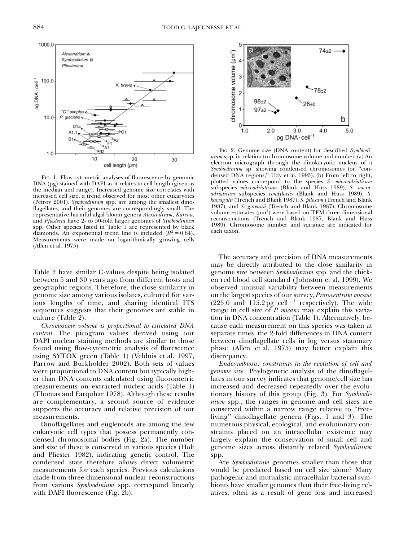

FIG. 1. Flow cytometric analyses of fluorescence by genomic DNA (pg) stained with DAPI as it relates to cell length (given as the median and range). Increased genome size correlates with increased cell size, a trend observed for most other eukaryotes (Petrov 2001). Symbiodinium spp. are among the smallest dinoflagellates, and their genomes are correspondingly small. The representative harmful algal bloom genera Alexandrium, Karena, and Pfiesteria have 2- to 50-fold larger genomes of Symbiodinium spp. Other species listed in Table 1 are represented by black diamonds. An exponential trend line is included  $(R^2 = 0.84)$ . Measurements were made on logarithmically growing cells (Allen et al. 1975).

Table 2 have similar C-values despite being isolated between 5 and 30 years ago from different hosts and geographic regions. Therefore, the close similarity in genome size among various isolates, cultured for various lengths of time, and sharing identical ITS sequences suggests that their genomes are stable in culture (Table 2).

Chromosome volume is proportional to estimated DNA content. The picogram values derived using our DAPI nuclear staining methods are similar to those found using flow-cytometric analysis of florescence using SYTOX green (Table 1) (Velduis et al. 1997, Parrow and Burkholder 2002). Both sets of values were proportional to DNA content but typically higher than DNA contents calculated using fluorometric measurements on extracted nucleic acids (Table 1) (Thomas and Farquhar 1978). Although these results are complementary, a second source of evidence supports the accuracy and relative precision of our measurements.

Dinoflagellates and euglenoids are among the few eukaryotic cell types that possess permanently condensed chromosomal bodies (Fig. 2a). The number and size of these is conserved in various species (Holt and Pfiester 1982), indicating genetic control. The condensed state therefore allows direct volumetric measurements for each species. Previous calculations made from three-dimensional nuclear reconstructions from various Symbiodinium spp. correspond linearly with DAPI fluorescence (Fig. 2b).



FIG. 2. Genome size (DNA content) for described Symbiodinium spp. in relation to chromosome volume and number. (a) An electron micrograph through the dinokaryotic nucleus of a Symbiodinium sp. showing condensed chromosomes (or ''condensed DNA regions,'' Udy et al. 1993). (b) From left to right, plotted values correspond to the species S. microadriaticum subspecies microadriaticum (Blank and Huss 1989), S. microadriaticum subspecies condylactis (Blank and Huss 1989), S. kawagutii (Trench and Blank 1987), S. pilosum (Trench and Blank 1987), and S. goreauii (Trench and Blank 1987). Chromosome volume estimates  $(\mu m^3)$  were based on TEM three-dimensional reconstructions (Trench and Blank 1987, Blank and Huss 1989). Chromosome number and variance are indicated for each taxon.

The accuracy and precision of DNA measurements may be directly attributed to the close similarity in genome size between Symbiodinium spp. and the chicken red blood cell standard (Johnston et al. 1999). We observed unusual variability between measurements on the largest species of our survey, Prorocentrum micans (225.0 and  $115.2$  pg·cell<sup>-1</sup> respectively). The wide range in cell size of *P. micans* may explain this variation in DNA concentration (Table 1). Alternatively, because each measurement on this species was taken at separate times, the 2-fold differences in DNA content between dinoflagellate cells in log versus stationary phase (Allen et al. 1975) may better explain this discrepancy.

Endosymbiosis: constraints in the evolution of cell and genome size. Phylogenetic analysis of the dinoflagellates in our survey indicates that genome/cell size has increased and decreased repeatedly over the evolutionary history of this group (Fig. 3). For Symbiodinium spp., the ranges in genome and cell sizes are conserved within a narrow range relative to ''freeliving'' dinoflagellate genera (Figs. 1 and 3). The numerous physical, ecological, and evolutionary constraints placed on an intracellular existence may largely explain the conservation of small cell and genome sizes across distantly related Symbiodinium spp.

Are Symbiodinium genomes smaller than those that would be predicted based on cell size alone? Many pathogenic and mutualistic intracellular bacterial symbionts have smaller genomes than their free-living relatives, often as a result of gene loss and increased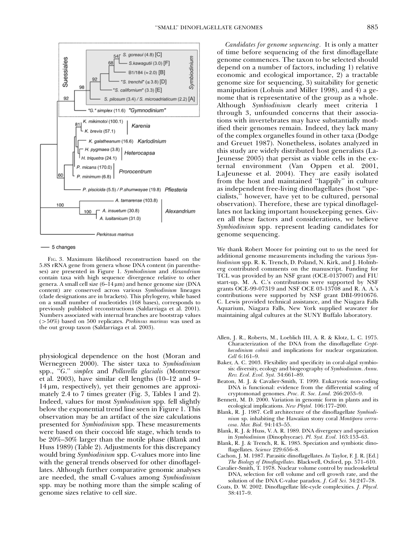

- 5 changes

FIG. 3. Maximum likelihood reconstruction based on the 5.8S rRNA gene from genera whose DNA content (in parentheses) are presented in Figure 1. Symbiodinium and Alexandrium contain taxa with high sequence divergence relative to other genera. A small cell size  $(6-14 \,\mu m)$  and hence genome size (DNA content) are conserved across various Symbiodinium lineages (clade designations are in brackets). This phylogeny, while based on a small number of nucleotides (168 bases), corresponds to previously published reconstructions (Saldarriaga et al. 2001). Numbers associated with internal branches are bootstrap values  $(50\%)$  based on 500 replicates. Prekinsus marinus was used as the out group taxon (Saldarriaga et al. 2003).

physiological dependence on the host (Moran and Wernegreen 2000). The sister taxa to Symbiodinium spp., "G." simplex and Pollarella glacialis (Montresor et al. 2003), have similar cell lengths (10–12 and 9–  $14 \mu m$ , respectively), yet their genomes are approximately 2.4 to 7 times greater (Fig. 3, Tables 1 and 2). Indeed, values for most Symbiodinium spp. fell slightly below the exponential trend line seen in Figure 1. This observation may be an artifact of the size calculations presented for Symbiodinium spp. These measurements were based on their coccoid life stage, which tends to be 20%–30% larger than the motile phase (Blank and Huss 1989) (Table 2). Adjustments for this discrepancy would bring Symbiodinium spp. C-values more into line with the general trends observed for other dinoflagellates. Although further comparative genomic analyses are needed, the small C-values among Symbiodinium spp. may be nothing more than the simple scaling of genome sizes relative to cell size.

Candidates for genome sequencing. It is only a matter of time before sequencing of the first dinoflagellate genome commences. The taxon to be selected should depend on a number of factors, including 1) relative economic and ecological importance, 2) a tractable genome size for sequencing, 3) suitability for genetic manipulation (Lohuis and Miller 1998), and 4) a genome that is representative of the group as a whole. Although Symbiodinium clearly meet criteria 1 through 3, unfounded concerns that their associations with invertebrates may have substantially modified their genomes remain. Indeed, they lack many of the complex organelles found in other taxa (Dodge and Greuet 1987). Nonetheless, isolates analyzed in this study are widely distributed host generalists (La-Jeunesse 2005) that persist as viable cells in the external environment (Van Oppen et al. 2001, LaJeunesse et al. 2004). They are easily isolated from the host and maintained ''happily'' in culture as independent free-living dinoflagellates (host ''specialists,'' however, have yet to be cultured, personal observation). Therefore, these are typical dinoflagellates not lacking important housekeeping genes. Given all these factors and considerations, we believe Symbiodinium spp. represent leading candidates for genome sequencing.

We thank Robert Moore for pointing out to us the need for additional genome measurements including the various Symbiodinium spp. R. K. Trench, D. Poland, N. Kirk, and J. Holmberg contributed comments on the manuscript. Funding for TCL was provided by an NSF grant (OCE-0137007) and FIU start-up. M. A. C.'s contributions were supported by NSF grants OCE-99-07319 and NSF OCE 03-13708 and R. A. A.'s contributions were supported by NSF grant DBI-9910676. C. Lewis provided technical assistance, and the Niagara Falls Aquarium, Niagara Falls, New York supplied seawater for maintaining algal cultures at the SUNY Buffalo laboratory.

- Allen, J. R., Roberts, M., Loeblich III, A. R. & Klotz, L. C. 1975. Characterization of the DNA from the dinoflagellate Crypthecodinium cohnii and implications for nuclear organization. Cell 6:161–9.
- Baker, A. C. 2003. Flexibility and specificity in coral-algal symbiosis: diversity, ecology and biogeography of Symbiodinium. Annu. Rev. Ecol. Evol. Syst. 34:661–89.
- Beaton, M. J. & Cavalier-Smith, T. 1999. Eukaryotic non-coding DNA is functional: evidence from the differential scaling of cryptomonad genomes. Proc. R. Soc. Lond. 266:2053–9.
- Bennett, M. D. 2000. Variation in genomic form in plants and its ecological implications. New Phytol. 106:177–200.
- Blank, R. J. 1987. Cell architecture of the dinoflagellate Symbiodinium sp. inhabiting the Hawaiian stony coral Montipora verrucosa. Mar. Biol. 94:143–55.
- Blank, R. J. & Huss, V. A. R. 1989. DNA divergency and speciation in Symbiodinium (Dinophyceae). Pl. Syst. Evol. 163:153–63.
- Blank, R. J. & Trench, R. K. 1985. Speciation and symbiotic dinoflagellates. Science 229:656-8.
- Cachon, J. M. 1987. Parasitic dinoflagellates. In Taylor, F. J. R. [Ed.] The Biology of Dinoflagellates. Blackwell, Oxford, pp. 571–610.
- Cavalier-Smith, T. 1978. Nuclear volume control by nucleoskeletal DNA, selection for cell volume and cell growth rate, and the solution of the DNA C-value paradox. J. Cell Sci. 34:247–78.
- Coats, D. W. 2002. Dinoflagellate life-cycle complexities. J. Phycol. 38:417–9.